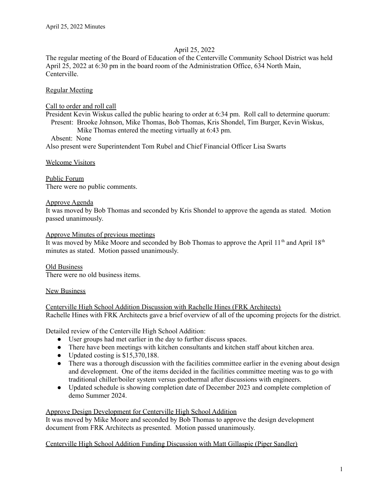## April 25, 2022

The regular meeting of the Board of Education of the Centerville Community School District was held April 25, 2022 at 6:30 pm in the board room of the Administration Office, 634 North Main, Centerville.

### Regular Meeting

#### Call to order and roll call

President Kevin Wiskus called the public hearing to order at 6:34 pm. Roll call to determine quorum: Present: Brooke Johnson, Mike Thomas, Bob Thomas, Kris Shondel, Tim Burger, Kevin Wiskus,

Mike Thomas entered the meeting virtually at 6:43 pm.

#### Absent: None

Also present were Superintendent Tom Rubel and Chief Financial Officer Lisa Swarts

Welcome Visitors

Public Forum There were no public comments.

#### Approve Agenda

It was moved by Bob Thomas and seconded by Kris Shondel to approve the agenda as stated. Motion passed unanimously.

#### Approve Minutes of previous meetings

It was moved by Mike Moore and seconded by Bob Thomas to approve the April 11<sup>th</sup> and April 18<sup>th</sup> minutes as stated. Motion passed unanimously.

Old Business There were no old business items.

#### New Business

Centerville High School Addition Discussion with Rachelle Hines (FRK Architects) Rachelle Hines with FRK Architects gave a brief overview of all of the upcoming projects for the district.

Detailed review of the Centerville High School Addition:

- User groups had met earlier in the day to further discuss spaces.
- There have been meetings with kitchen consultants and kitchen staff about kitchen area.
- Updated costing is \$15,370,188.
- There was a thorough discussion with the facilities committee earlier in the evening about design and development. One of the items decided in the facilities committee meeting was to go with traditional chiller/boiler system versus geothermal after discussions with engineers.
- Updated schedule is showing completion date of December 2023 and complete completion of demo Summer 2024.

#### Approve Design Development for Centerville High School Addition

It was moved by Mike Moore and seconded by Bob Thomas to approve the design development document from FRK Architects as presented. Motion passed unanimously.

# Centerville High School Addition Funding Discussion with Matt Gillaspie (Piper Sandler)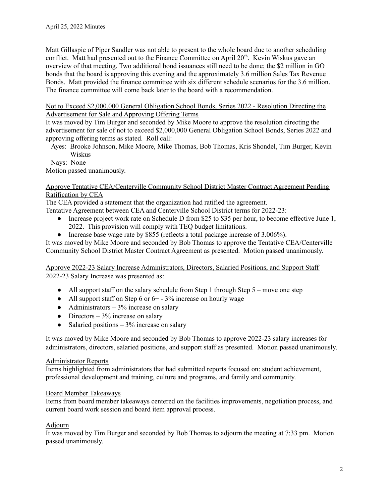Matt Gillaspie of Piper Sandler was not able to present to the whole board due to another scheduling conflict. Matt had presented out to the Finance Committee on April 20<sup>th</sup>. Kevin Wiskus gave an overview of that meeting. Two additional bond issuances still need to be done; the \$2 million in GO bonds that the board is approving this evening and the approximately 3.6 million Sales Tax Revenue Bonds. Matt provided the finance committee with six different schedule scenarios for the 3.6 million. The finance committee will come back later to the board with a recommendation.

Not to Exceed \$2,000,000 General Obligation School Bonds, Series 2022 - Resolution Directing the Advertisement for Sale and Approving Offering Terms

It was moved by Tim Burger and seconded by Mike Moore to approve the resolution directing the advertisement for sale of not to exceed \$2,000,000 General Obligation School Bonds, Series 2022 and approving offering terms as stated. Roll call:

Ayes: Brooke Johnson, Mike Moore, Mike Thomas, Bob Thomas, Kris Shondel, Tim Burger, Kevin Wiskus

Nays: None

Motion passed unanimously.

### Approve Tentative CEA/Centerville Community School District Master Contract Agreement Pending Ratification by CEA

The CEA provided a statement that the organization had ratified the agreement.

Tentative Agreement between CEA and Centerville School District terms for 2022-23:

- Increase project work rate on Schedule D from \$25 to \$35 per hour, to become effective June 1, 2022. This provision will comply with TEQ budget limitations.
- Increase base wage rate by \$855 (reflects a total package increase of 3.006%).

It was moved by Mike Moore and seconded by Bob Thomas to approve the Tentative CEA/Centerville Community School District Master Contract Agreement as presented. Motion passed unanimously.

Approve 2022-23 Salary Increase Administrators, Directors, Salaried Positions, and Support Staff 2022-23 Salary Increase was presented as:

- All support staff on the salary schedule from Step 1 through Step 5 move one step
- All support staff on Step 6 or  $6+ -3\%$  increase on hourly wage
- Administrators  $-3\%$  increase on salary
- Directors  $-3\%$  increase on salary
- Salaried positions  $-3\%$  increase on salary

It was moved by Mike Moore and seconded by Bob Thomas to approve 2022-23 salary increases for administrators, directors, salaried positions, and support staff as presented. Motion passed unanimously.

#### Administrator Reports

Items highlighted from administrators that had submitted reports focused on: student achievement, professional development and training, culture and programs, and family and community.

#### Board Member Takeaways

Items from board member takeaways centered on the facilities improvements, negotiation process, and current board work session and board item approval process.

# Adjourn

It was moved by Tim Burger and seconded by Bob Thomas to adjourn the meeting at 7:33 pm. Motion passed unanimously.